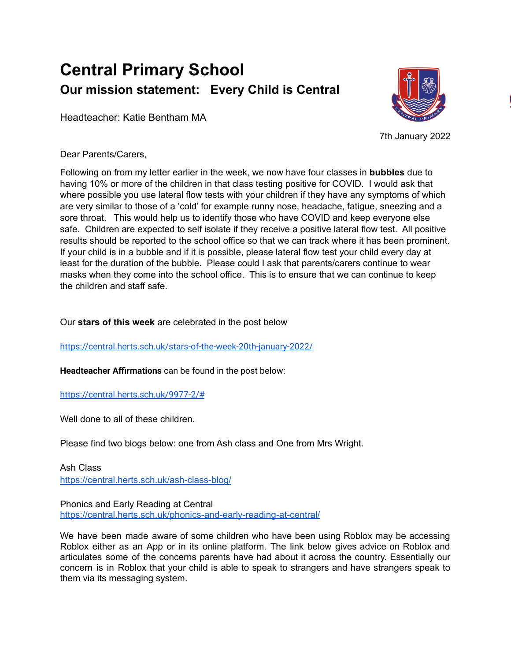## **Central Primary School Our mission statement: Every Child is Central**

Headteacher: Katie Bentham MA



7th January 2022

Dear Parents/Carers,

Following on from my letter earlier in the week, we now have four classes in **bubbles** due to having 10% or more of the children in that class testing positive for COVID. I would ask that where possible you use lateral flow tests with your children if they have any symptoms of which are very similar to those of a 'cold' for example runny nose, headache, fatigue, sneezing and a sore throat. This would help us to identify those who have COVID and keep everyone else safe. Children are expected to self isolate if they receive a positive lateral flow test. All positive results should be reported to the school office so that we can track where it has been prominent. If your child is in a bubble and if it is possible, please lateral flow test your child every day at least for the duration of the bubble. Please could I ask that parents/carers continue to wear masks when they come into the school office. This is to ensure that we can continue to keep the children and staff safe.

Our **stars of this week** are celebrated in the post below

<https://central.herts.sch.uk/stars-of-the-week-20th-january-2022/>

**Headteacher Affirmations** can be found in the post below:

<https://central.herts.sch.uk/9977-2/#>

Well done to all of these children.

Please find two blogs below: one from Ash class and One from Mrs Wright.

Ash Class <https://central.herts.sch.uk/ash-class-blog/>

Phonics and Early Reading at Central <https://central.herts.sch.uk/phonics-and-early-reading-at-central/>

We have been made aware of some children who have been using Roblox may be accessing Roblox either as an App or in its online platform. The link below gives advice on Roblox and articulates some of the concerns parents have had about it across the country. Essentially our concern is in Roblox that your child is able to speak to strangers and have strangers speak to them via its messaging system.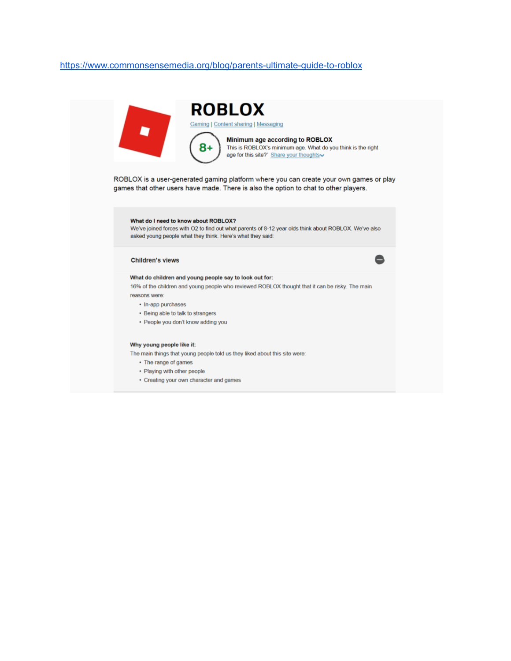## <https://www.commonsensemedia.org/blog/parents-ultimate-guide-to-roblox>